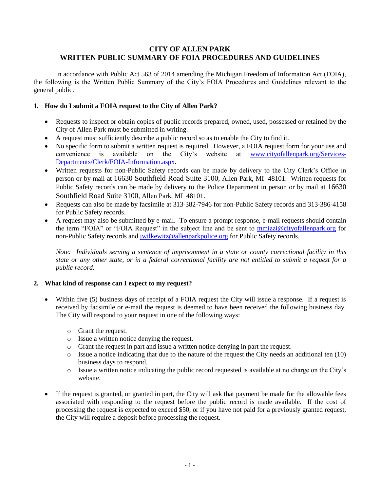#### **CITY OF ALLEN PARK WRITTEN PUBLIC SUMMARY OF FOIA PROCEDURES AND GUIDELINES**

In accordance with Public Act 563 of 2014 amending the Michigan Freedom of Information Act (FOIA), the following is the Written Public Summary of the City's FOIA Procedures and Guidelines relevant to the general public.

#### **1. How do I submit a FOIA request to the City of Allen Park?**

- Requests to inspect or obtain copies of public records prepared, owned, used, possessed or retained by the City of Allen Park must be submitted in writing.
- A request must sufficiently describe a public record so as to enable the City to find it.
- No specific form to submit a written request is required. However, a FOIA request form for your use and convenience is available on the City's website at [www.cityofallenpark.org/Services-](http://www.cityofallenpark.org/Services-Departments/Clerk/FOIA-Information.aspx)[Departments/Clerk/FOIA-Information.aspx.](http://www.cityofallenpark.org/Services-Departments/Clerk/FOIA-Information.aspx)
- Written requests for non-Public Safety records can be made by delivery to the City Clerk's Office in person or by mail at 16630 Southfield Road Suite 3100, Allen Park, MI 48101. Written requests for Public Safety records can be made by delivery to the Police Department in person or by mail at 16630 Southfield Road Suite 3100, Allen Park, MI 48101.
- Requests can also be made by facsimile at 313-382-7946 for non-Public Safety records and 313-386-4158 for Public Safety records.
- A request may also be submitted by e-mail. To ensure a prompt response, e-mail requests should contain the term "FOIA" or "FOIA Request" in the subject line and be sent to **mmizzi@cityofallenpark.org** for non-Public Safety records and [jwilkewitz@allenparkpolice.org](mailto:jwilkewitz@allenparkpolice.org) for Public Safety records.

*Note: Individuals serving a sentence of imprisonment in a state or county correctional facility in this state or any other state, or in a federal correctional facility are not entitled to submit a request for a public record.*

#### **2. What kind of response can I expect to my request?**

- Within five (5) business days of receipt of a FOIA request the City will issue a response. If a request is received by facsimile or e-mail the request is deemed to have been received the following business day. The City will respond to your request in one of the following ways:
	- o Grant the request.
	- o Issue a written notice denying the request.
	- o Grant the request in part and issue a written notice denying in part the request.
	- $\circ$  Issue a notice indicating that due to the nature of the request the City needs an additional ten (10) business days to respond.
	- o Issue a written notice indicating the public record requested is available at no charge on the City's website.
- If the request is granted, or granted in part, the City will ask that payment be made for the allowable fees associated with responding to the request before the public record is made available. If the cost of processing the request is expected to exceed \$50, or if you have not paid for a previously granted request, the City will require a deposit before processing the request.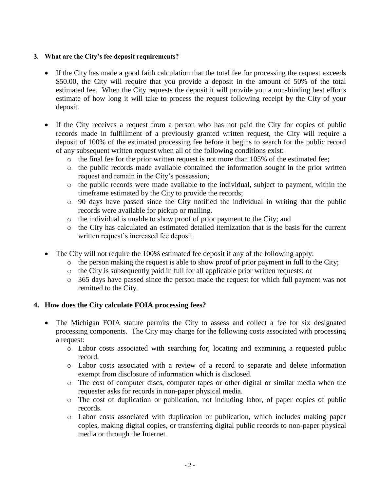### **3. What are the City's fee deposit requirements?**

- If the City has made a good faith calculation that the total fee for processing the request exceeds \$50.00, the City will require that you provide a deposit in the amount of 50% of the total estimated fee. When the City requests the deposit it will provide you a non-binding best efforts estimate of how long it will take to process the request following receipt by the City of your deposit.
- If the City receives a request from a person who has not paid the City for copies of public records made in fulfillment of a previously granted written request, the City will require a deposit of 100% of the estimated processing fee before it begins to search for the public record of any subsequent written request when all of the following conditions exist:
	- o the final fee for the prior written request is not more than 105% of the estimated fee;
	- o the public records made available contained the information sought in the prior written request and remain in the City's possession;
	- o the public records were made available to the individual, subject to payment, within the timeframe estimated by the City to provide the records;
	- o 90 days have passed since the City notified the individual in writing that the public records were available for pickup or mailing.
	- o the individual is unable to show proof of prior payment to the City; and
	- o the City has calculated an estimated detailed itemization that is the basis for the current written request's increased fee deposit.
- The City will not require the 100% estimated fee deposit if any of the following apply:
	- o the person making the request is able to show proof of prior payment in full to the City;
	- o the City is subsequently paid in full for all applicable prior written requests; or
	- o 365 days have passed since the person made the request for which full payment was not remitted to the City.

## **4. How does the City calculate FOIA processing fees?**

- The Michigan FOIA statute permits the City to assess and collect a fee for six designated processing components. The City may charge for the following costs associated with processing a request:
	- o Labor costs associated with searching for, locating and examining a requested public record.
	- o Labor costs associated with a review of a record to separate and delete information exempt from disclosure of information which is disclosed.
	- o The cost of computer discs, computer tapes or other digital or similar media when the requester asks for records in non-paper physical media.
	- o The cost of duplication or publication, not including labor, of paper copies of public records.
	- o Labor costs associated with duplication or publication, which includes making paper copies, making digital copies, or transferring digital public records to non-paper physical media or through the Internet.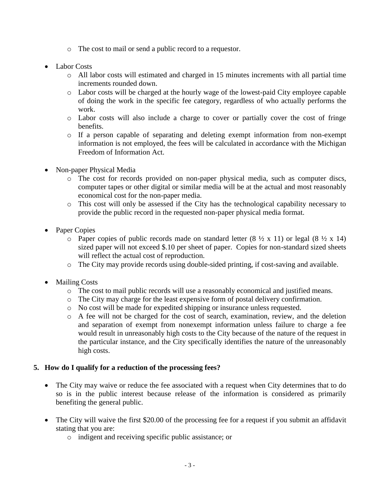- o The cost to mail or send a public record to a requestor.
- Labor Costs
	- $\circ$  All labor costs will estimated and charged in 15 minutes increments with all partial time increments rounded down.
	- o Labor costs will be charged at the hourly wage of the lowest-paid City employee capable of doing the work in the specific fee category, regardless of who actually performs the work.
	- o Labor costs will also include a charge to cover or partially cover the cost of fringe benefits.
	- o If a person capable of separating and deleting exempt information from non-exempt information is not employed, the fees will be calculated in accordance with the Michigan Freedom of Information Act.
- Non-paper Physical Media
	- o The cost for records provided on non-paper physical media, such as computer discs, computer tapes or other digital or similar media will be at the actual and most reasonably economical cost for the non-paper media.
	- o This cost will only be assessed if the City has the technological capability necessary to provide the public record in the requested non-paper physical media format.
- Paper Copies
	- $\circ$  Paper copies of public records made on standard letter (8  $\frac{1}{2}$  x 11) or legal (8  $\frac{1}{2}$  x 14) sized paper will not exceed \$.10 per sheet of paper. Copies for non-standard sized sheets will reflect the actual cost of reproduction.
	- o The City may provide records using double-sided printing, if cost-saving and available.
- Mailing Costs
	- o The cost to mail public records will use a reasonably economical and justified means.
	- o The City may charge for the least expensive form of postal delivery confirmation.
	- o No cost will be made for expedited shipping or insurance unless requested.
	- o A fee will not be charged for the cost of search, examination, review, and the deletion and separation of exempt from nonexempt information unless failure to charge a fee would result in unreasonably high costs to the City because of the nature of the request in the particular instance, and the City specifically identifies the nature of the unreasonably high costs.

## **5. How do I qualify for a reduction of the processing fees?**

- The City may waive or reduce the fee associated with a request when City determines that to do so is in the public interest because release of the information is considered as primarily benefiting the general public.
- The City will waive the first \$20.00 of the processing fee for a request if you submit an affidavit stating that you are:
	- o indigent and receiving specific public assistance; or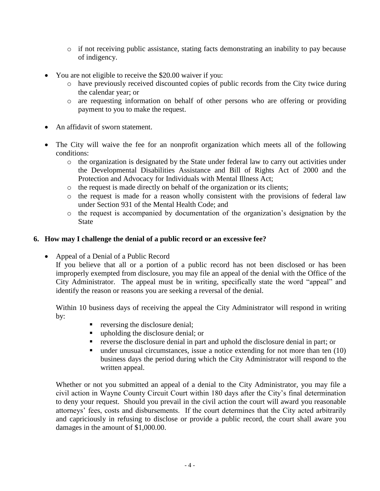- $\circ$  if not receiving public assistance, stating facts demonstrating an inability to pay because of indigency.
- You are not eligible to receive the \$20.00 waiver if you:
	- o have previously received discounted copies of public records from the City twice during the calendar year; or
	- o are requesting information on behalf of other persons who are offering or providing payment to you to make the request.
- An affidavit of sworn statement.
- The City will waive the fee for an nonprofit organization which meets all of the following conditions:
	- o the organization is designated by the State under federal law to carry out activities under the Developmental Disabilities Assistance and Bill of Rights Act of 2000 and the Protection and Advocacy for Individuals with Mental Illness Act;
	- o the request is made directly on behalf of the organization or its clients;
	- o the request is made for a reason wholly consistent with the provisions of federal law under Section 931 of the Mental Health Code; and
	- o the request is accompanied by documentation of the organization's designation by the State

# **6. How may I challenge the denial of a public record or an excessive fee?**

• Appeal of a Denial of a Public Record

If you believe that all or a portion of a public record has not been disclosed or has been improperly exempted from disclosure, you may file an appeal of the denial with the Office of the City Administrator. The appeal must be in writing, specifically state the word "appeal" and identify the reason or reasons you are seeking a reversal of the denial.

Within 10 business days of receiving the appeal the City Administrator will respond in writing by:

- **reversing the disclosure denial;**
- upholding the disclosure denial; or
- reverse the disclosure denial in part and uphold the disclosure denial in part; or
- $\blacksquare$  under unusual circumstances, issue a notice extending for not more than ten (10) business days the period during which the City Administrator will respond to the written appeal.

Whether or not you submitted an appeal of a denial to the City Administrator, you may file a civil action in Wayne County Circuit Court within 180 days after the City's final determination to deny your request. Should you prevail in the civil action the court will award you reasonable attorneys' fees, costs and disbursements. If the court determines that the City acted arbitrarily and capriciously in refusing to disclose or provide a public record, the court shall aware you damages in the amount of \$1,000.00.